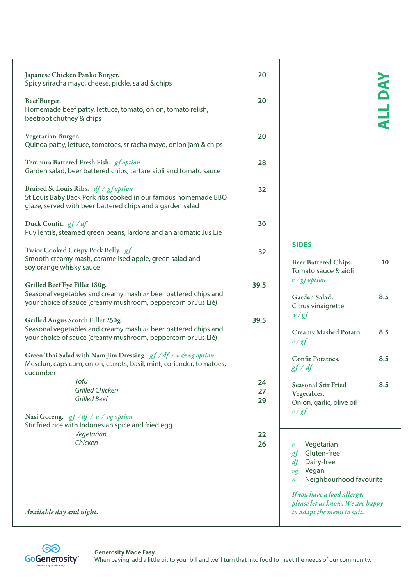| Japanese Chicken Panko Burger.<br>Spicy sriracha mayo, cheese, pickle, salad & chips                                                                                | 20   |                                                                                                                                                      |                |
|---------------------------------------------------------------------------------------------------------------------------------------------------------------------|------|------------------------------------------------------------------------------------------------------------------------------------------------------|----------------|
| Beef Burger.<br>Homemade beef patty, lettuce, tomato, onion, tomato relish,<br>beetroot chutney & chips                                                             | 20   |                                                                                                                                                      | <b>ALL DAY</b> |
| Vegetarian Burger.<br>Quinoa patty, lettuce, tomatoes, sriracha mayo, onion jam & chips                                                                             | 20   |                                                                                                                                                      |                |
| Tempura Battered Fresh Fish. gfoption<br>Garden salad, beer battered chips, tartare aioli and tomato sauce                                                          | 28   |                                                                                                                                                      |                |
| Braised St Louis Ribs. df / gfoption<br>St Louis Baby Back Pork ribs cooked in our famous homemade BBQ<br>glaze, served with beer battered chips and a garden salad | 32   |                                                                                                                                                      |                |
| Duck Confit. $gf/df$<br>Puy lentils, steamed green beans, lardons and an aromatic Jus Lié                                                                           | 36   |                                                                                                                                                      |                |
| Twice Cooked Crispy Pork Belly. gf                                                                                                                                  | 32   | <b>SIDES</b>                                                                                                                                         |                |
| Smooth creamy mash, caramelised apple, green salad and<br>soy orange whisky sauce                                                                                   |      | Beer Battered Chips.<br>Tomato sauce & aioli                                                                                                         | 10             |
| Grilled Beef Eye Fillet 180g.                                                                                                                                       | 39.5 | $v/gf$ option                                                                                                                                        |                |
| Seasonal vegetables and creamy mash or beer battered chips and<br>your choice of sauce (creamy mushroom, peppercorn or Jus Lié)                                     |      | Garden Salad.<br>Citrus vinaigrette                                                                                                                  | 8.5            |
| Grilled Angus Scotch Fillet 250g.                                                                                                                                   | 39.5 | v/gf                                                                                                                                                 |                |
| Seasonal vegetables and creamy mash or beer battered chips and<br>your choice of sauce (creamy mushroom, peppercorn or Jus Lié)                                     |      | Creamy Mashed Potato.<br>v/gf                                                                                                                        | 8.5            |
| Green Thai Salad with Nam Jim Dressing $gf/df/v$ & vg option<br>Mesclun, capsicum, onion, carrots, basil, mint, coriander, tomatoes,<br>cucumber                    |      | Confit Potatoes.<br>gf/df                                                                                                                            | 8.5            |
| Tofu                                                                                                                                                                | 24   | <b>Seasonal Stir Fried</b>                                                                                                                           | 8.5            |
| <b>Grilled Chicken</b>                                                                                                                                              | 27   | Vegetables.                                                                                                                                          |                |
| <b>Grilled Beef</b>                                                                                                                                                 | 29   | Onion, garlic, olive oil<br>v/gf                                                                                                                     |                |
| Nasi Goreng. $gf/df/v/vg$ option                                                                                                                                    |      |                                                                                                                                                      |                |
| Stir fried rice with Indonesian spice and fried egg                                                                                                                 |      |                                                                                                                                                      |                |
| Vegetarian                                                                                                                                                          | 22   |                                                                                                                                                      |                |
| Chicken                                                                                                                                                             | 26   | Vegetarian<br>$\boldsymbol{v}$<br>Gluten-free<br>gf<br>Dairy-free<br>df<br>Vegan<br>$v_{\mathcal{L}}$<br>Neighbourhood favourite<br>$\boldsymbol{n}$ |                |
|                                                                                                                                                                     |      | If you have a food allergy,<br>please let us know. We are happy                                                                                      |                |
| Available day and night.                                                                                                                                            |      | to adapt the menu to suit.                                                                                                                           |                |